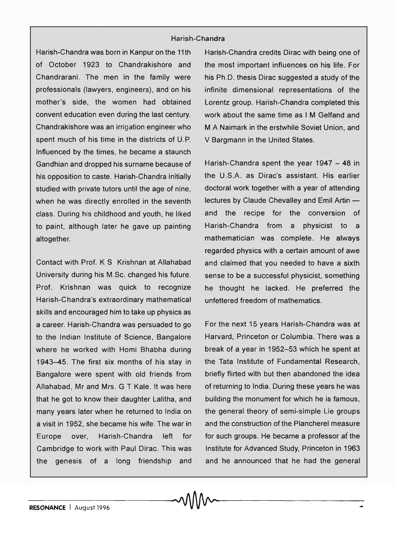## Harish-Chandra

Harish-Chandra was born in Kanpur on the 11 th of October 1923 to Chandrakishore and Chandrarani. The men in the family were professionals (lawyers, engineers), and on his mother's side, the women had obtained convent education even during the last century. Chandrakishore was an irrigation engineer who spent much of his time in the districts of U.P. Influenced by the times, he became a staunch Gandhian and dropped his surname because of his opposition to caste. Harish-Chandra initially studied with private tutors until the age of nine, when he was directly enrolled in the seventh class. During his childhood and youth, he liked to paint, although later he gave up painting altogether.

Contact with Prof. K S Krishnan at Allahabad University during his M.Sc. changed his future. Prof. Krishnan was quick to recognize Harish-Chandra's extraordinary mathematical skills and encouraged him to take up physics as a career. Harish-Chandra was persuaded to go to the Indian Institute of Science, Bangalore where he worked with Homi Bhabha during 1943-45. The first six months of his stay in Bangalore were spent with old friends from Allahabad, Mr and Mrs. G T Kale. It was here that he got to know their daughter Lalitha, and many years later when he returned to India on a visit in 1952, she became his wife. The war in Europe over, Harish-Chandra left for Cambridge to work with Paul Dirac. This was the genesis of a long friendship and Harish-Chandra credits Dirac with being one of the most important influences on his life. For his Ph.D. thesis Dirac suggested a study of the infinite dimensional representations of the Lorentz group. Harish-Chandra completed this work about the same time as I M Gelfand and M A Naimark in the erstwhile Soviet Union, and V Bargmann in the United States.

Harish-Chandra spent the year 1947 - 48 in the U.S.A. as Dirac's assistant. His earlier doctoral work together with a year of attending lectures by Claude Chevalley and Emil Artin and the recipe for the conversion of Harish-Chandra from a physicist to a mathematician was complete. He always regarded physics with a certain amount of awe and claimed that you needed to have a sixth sense to be a successful physicist, something he thought he lacked. He preferred the unfettered freedom of mathematics.

For the next 15 years Harish-Chandra was at Harvard, Princeton or Columbia. There was a break of a year in 1952-53 which he spent at the Tata Institute of Fundamental Research, briefly flirted with but then abandoned the idea of returning to India. During these years he was building the monument for which he is famous, the general theory of semi-simple Lie groups and the construction of the Plancherel measure for such groups. He became a professor at the Institute for Advanced Study, Princeton in 1963 and he announced that he had the general